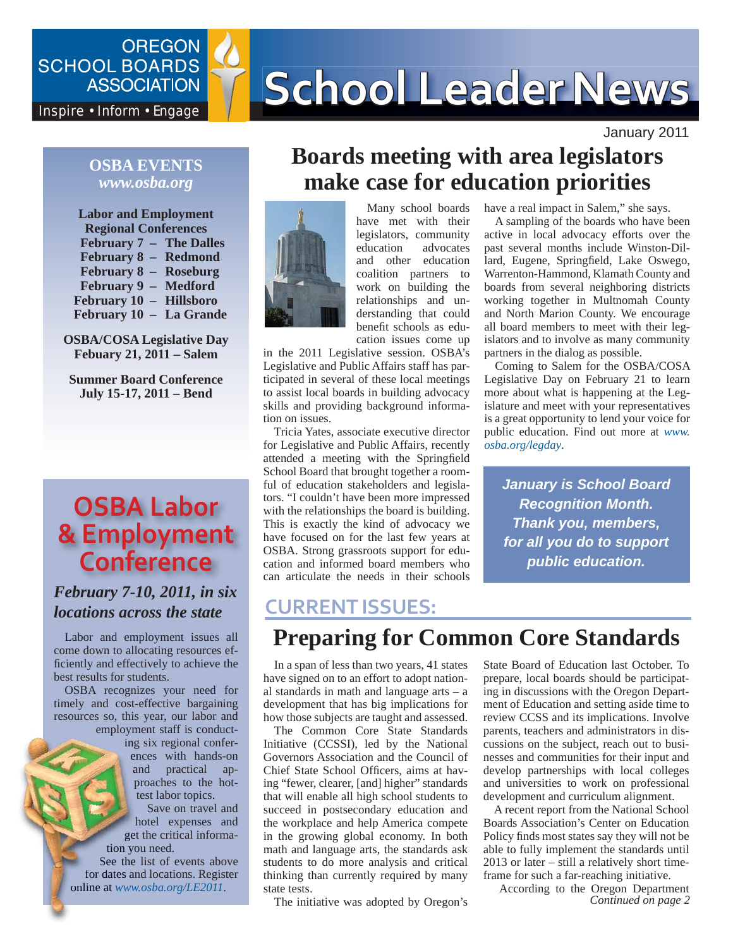**OREGON** 

# SCHOOL BOARDS **SCHOOL Leader News**

January 2011

#### **OSBA EVENTS** *www.osba.org*

**Labor and Employment Regional Conferences February 7 – The Dalles February 8 – Redmond February 8 – Roseburg February 9 – Medford February 10 – Hillsboro February 10 – La Grande**

**OSBA/COSA Legislative Day Febuary 21, 2011 – Salem**

**Summer Board Conference July 15-17, 2011 – Bend**

# **OSBA Labor & Employment Conference**

#### *February 7-10, 2011, in six locations across the state*

Labor and employment issues all come down to allocating resources efficiently and effectively to achieve the best results for students.

OSBA recognizes your need for timely and cost-effective bargaining resources so, this year, our labor and employment staff is conduct-

ing six regional confer-ing ences with hands-on and practical ap-a proaches to the hot-p test labor topics.

Save on travel and hotel expenses and get the critical informa-ge tion you need.

See the list of events above for dates and locations. Register online at *www.osba.org*/LE2011.

## **Boards meeting with area legislators make case for education priorities**



Many school boards have met with their legislators, community education advocates and other education coalition partners to work on building the relationships and understanding that could benefit schools as education issues come up

in the 2011 Legislative session. OSBA's Legislative and Public Affairs staff has participated in several of these local meetings to assist local boards in building advocacy skills and providing background information on issues.

Tricia Yates, associate executive director for Legislative and Public Affairs, recently attended a meeting with the Springfield School Board that brought together a roomful of education stakeholders and legislators. "I couldn't have been more impressed with the relationships the board is building. This is exactly the kind of advocacy we have focused on for the last few years at OSBA. Strong grassroots support for education and informed board members who can articulate the needs in their schools

#### **CURRENT ISSUES:**

## **Preparing for Common Core Standards**

In a span of less than two years, 41 states have signed on to an effort to adopt national standards in math and language arts – a development that has big implications for how those subjects are taught and assessed.

The Common Core State Standards Initiative (CCSSI), led by the National Governors Association and the Council of Chief State School Officers, aims at having "fewer, clearer, [and] higher" standards that will enable all high school students to succeed in postsecondary education and the workplace and help America compete in the growing global economy. In both math and language arts, the standards ask students to do more analysis and critical thinking than currently required by many state tests.

The initiative was adopted by Oregon's

State Board of Education last October. To prepare, local boards should be participating in discussions with the Oregon Department of Education and setting aside time to review CCSS and its implications. Involve parents, teachers and administrators in discussions on the subject, reach out to businesses and communities for their input and develop partnerships with local colleges

*January is School Board Recognition Month. Thank you, members, for all you do to support public education.*

Coming to Salem for the OSBA/COSA Legislative Day on February 21 to learn more about what is happening at the Legislature and meet with your representatives is a great opportunity to lend your voice for public education. Find out more at *www.*

have a real impact in Salem," she says. A sampling of the boards who have been active in local advocacy efforts over the past several months include Winston-Dillard, Eugene, Springfield, Lake Oswego, Warrenton-Hammond, Klamath County and boards from several neighboring districts working together in Multnomah County and North Marion County. We encourage all board members to meet with their legislators and to involve as many community

partners in the dialog as possible.

*osba.org/legday*.

development and curriculum alignment. A recent report from the National School Boards Association's Center on Education Policy finds most states say they will not be able to fully implement the standards until 2013 or later – still a relatively short timeframe for such a far-reaching initiative.

and universities to work on professional

*Continued on page 2* According to the Oregon Department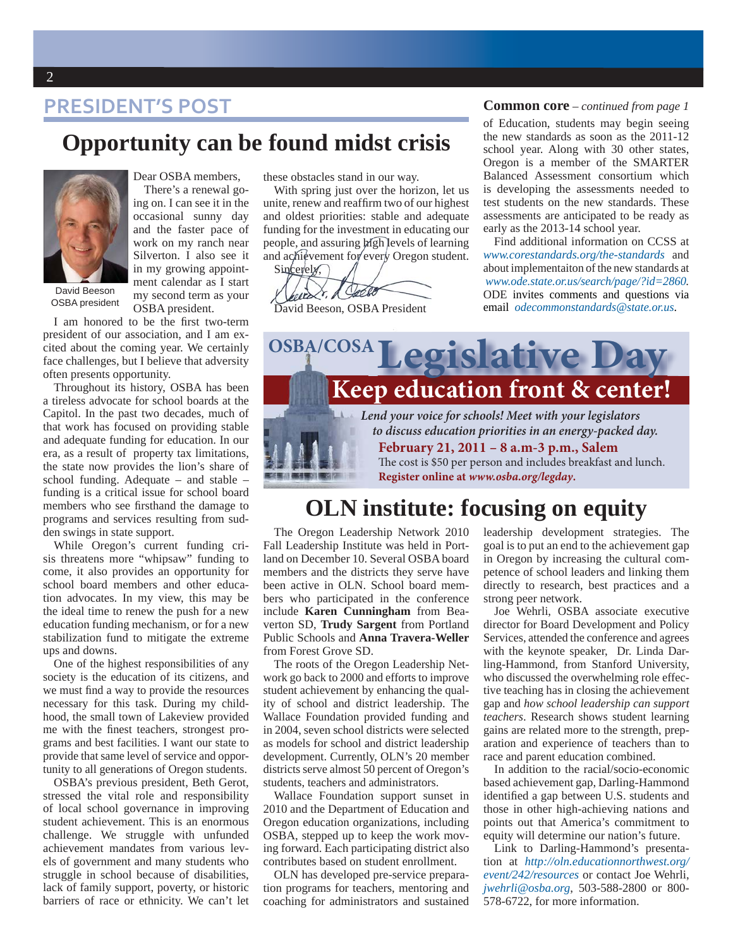## **PRESIDENT'S POST**

## **Opportunity can be found midst crisis**



OSBA president

Dear OSBA members, There's a renewal going on. I can see it in the occasional sunny day and the faster pace of work on my ranch near Silverton. I also see it in my growing appointment calendar as I start my second term as your OSBA president.

I am honored to be the first two-term president of our association, and I am excited about the coming year. We certainly face challenges, but I believe that adversity often presents opportunity.

Throughout its history, OSBA has been a tireless advocate for school boards at the Capitol. In the past two decades, much of that work has focused on providing stable and adequate funding for education. In our era, as a result of property tax limitations, the state now provides the lion's share of school funding. Adequate – and stable – funding is a critical issue for school board members who see firsthand the damage to programs and services resulting from sudden swings in state support.

While Oregon's current funding crisis threatens more "whipsaw" funding to come, it also provides an opportunity for school board members and other education advocates. In my view, this may be the ideal time to renew the push for a new education funding mechanism, or for a new stabilization fund to mitigate the extreme ups and downs.

One of the highest responsibilities of any society is the education of its citizens, and we must find a way to provide the resources necessary for this task. During my childhood, the small town of Lakeview provided me with the finest teachers, strongest programs and best facilities. I want our state to provide that same level of service and opportunity to all generations of Oregon students.

OSBA's previous president, Beth Gerot, stressed the vital role and responsibility of local school governance in improving student achievement. This is an enormous challenge. We struggle with unfunded achievement mandates from various levels of government and many students who struggle in school because of disabilities, lack of family support, poverty, or historic barriers of race or ethnicity. We can't let

these obstacles stand in our way.

With spring just over the horizon, let us unite, renew and reaffirm two of our highest and oldest priorities: stable and adequate funding for the investment in educating our people, and assuring **h**igh levels of learning and achievement for every Oregon student.

Sincerely, exercit, Decier

David Beeson, OSBA President

#### **Common core** – *continued from page 1*

of Education, students may begin seeing the new standards as soon as the 2011-12 school year. Along with 30 other states, Oregon is a member of the SMARTER Balanced Assessment consortium which is developing the assessments needed to test students on the new standards. These assessments are anticipated to be ready as early as the 2013-14 school year.

Find additional information on CCSS at *www.corestandards.org/the-standards* and about implementaiton of the new standards at *www.ode.state.or.us/search/page/?id=2860.* ODE invites comments and questions via email *odecommonstandards@state.or.us*.



## **OLN institute: focusing on equity**

The Oregon Leadership Network 2010 Fall Leadership Institute was held in Portland on December 10. Several OSBA board members and the districts they serve have been active in OLN. School board members who participated in the conference include **Karen Cunningham** from Beaverton SD, **Trudy Sargent** from Portland Public Schools and **Anna Travera-Weller** from Forest Grove SD.

The roots of the Oregon Leadership Network go back to 2000 and efforts to improve student achievement by enhancing the quality of school and district leadership. The Wallace Foundation provided funding and in 2004, seven school districts were selected as models for school and district leadership development. Currently, OLN's 20 member districts serve almost 50 percent of Oregon's students, teachers and administrators.

Wallace Foundation support sunset in 2010 and the Department of Education and Oregon education organizations, including OSBA, stepped up to keep the work moving forward. Each participating district also contributes based on student enrollment.

OLN has developed pre-service preparation programs for teachers, mentoring and coaching for administrators and sustained leadership development strategies. The goal is to put an end to the achievement gap in Oregon by increasing the cultural competence of school leaders and linking them directly to research, best practices and a strong peer network.

Joe Wehrli, OSBA associate executive director for Board Development and Policy Services, attended the conference and agrees with the keynote speaker, Dr. Linda Darling-Hammond, from Stanford University, who discussed the overwhelming role effective teaching has in closing the achievement gap and *how school leadership can support teachers*. Research shows student learning gains are related more to the strength, preparation and experience of teachers than to race and parent education combined.

In addition to the racial/socio-economic based achievement gap, Darling-Hammond identified a gap between U.S. students and those in other high-achieving nations and points out that America's commitment to equity will determine our nation's future.

Link to Darling-Hammond's presentation at *http://oln.educationnorthwest.org/ event/242/resources* or contact Joe Wehrli, *jwehrli@osba.org*, 503-588-2800 or 800- 578-6722, for more information.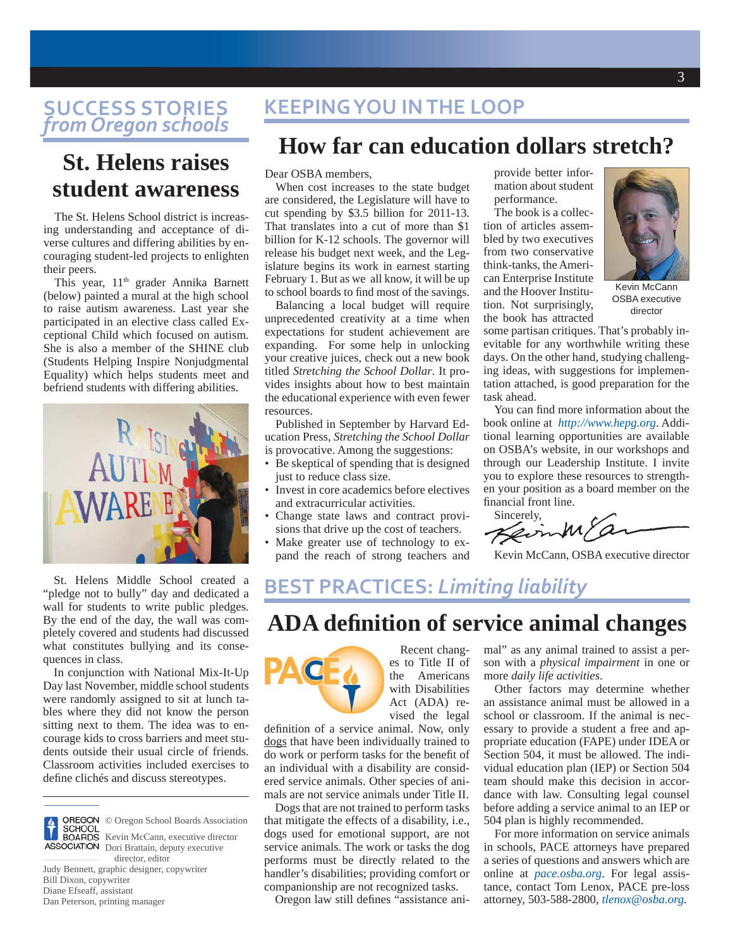### **SUCCESS STORIES**  *from Oregon schools*

## **St. Helens raises student awareness**

The St. Helens School district is increasing understanding and acceptance of diverse cultures and differing abilities by encouraging student-led projects to enlighten their peers.

This year, 11<sup>th</sup> grader Annika Barnett (below) painted a mural at the high school to raise autism awareness. Last year she participated in an elective class called Exceptional Child which focused on autism. She is also a member of the SHINE club (Students Helping Inspire Nonjudgmental Equality) which helps students meet and befriend students with differing abilities.



St. Helens Middle School created a "pledge not to bully" day and dedicated a wall for students to write public pledges. By the end of the day, the wall was completely covered and students had discussed what constitutes bullying and its consequences in class.

In conjunction with National Mix-It-Up Day last November, middle school students were randomly assigned to sit at lunch tables where they did not know the person sitting next to them. The idea was to encourage kids to cross barriers and meet students outside their usual circle of friends. Classroom activities included exercises to define clichés and discuss stereotypes.



OREGON © Oregon School Boards Association<br>SCHOOL BOARDS Kevin McCann, executive director

 director, editor Judy Bennett, graphic designer, copywriter Bill Dixon, copywriter Diane Efseaff, assistant Dan Peterson, printing manager

## **KEEPING YOU IN THE LOOP**

## **How far can education dollars stretch?**

#### Dear OSBA members,

When cost increases to the state budget are considered, the Legislature will have to cut spending by \$3.5 billion for 2011-13. That translates into a cut of more than \$1 billion for K-12 schools. The governor will release his budget next week, and the Legislature begins its work in earnest starting February 1. But as we all know, it will be up to school boards to find most of the savings.

Balancing a local budget will require unprecedented creativity at a time when expectations for student achievement are expanding. For some help in unlocking your creative juices, check out a new book titled *Stretching the School Dollar*. It provides insights about how to best maintain the educational experience with even fewer resources.

Published in September by Harvard Education Press, *Stretching the School Dollar* is provocative. Among the suggestions:

- Be skeptical of spending that is designed just to reduce class size.
- Invest in core academics before electives and extracurricular activities.
- Change state laws and contract provisions that drive up the cost of teachers.
- Make greater use of technology to expand the reach of strong teachers and

provide better information about student performance.

The book is a collection of articles assembled by two executives from two conservative think-tanks, the American Enterprise Institute and the Hoover Institution. Not surprisingly, the book has attracted



Kevin McCann OSBA executive director

some partisan critiques. That's probably inevitable for any worthwhile writing these days. On the other hand, studying challenging ideas, with suggestions for implementation attached, is good preparation for the task ahead.

You can find more information about the book online at *http://www.hepg.org*. Additional learning opportunities are available on OSBA's website, in our workshops and through our Leadership Institute. I invite you to explore these resources to strengthen your position as a board member on the financial front line.

Sincerely, 'a KevinM,

Kevin McCann, OSBA executive director

## **BEST PRACTICES:** *Limiting liability*

## **ADA defi nition of service animal changes**



Recent changes to Title II of the Americans with Disabilities Act (ADA) revised the legal

definition of a service animal. Now, only dogs that have been individually trained to do work or perform tasks for the benefit of an individual with a disability are considered service animals. Other species of animals are not service animals under Title II.

Dogs that are not trained to perform tasks that mitigate the effects of a disability, i.e., dogs used for emotional support, are not service animals. The work or tasks the dog performs must be directly related to the handler's disabilities; providing comfort or companionship are not recognized tasks.

Oregon law still defines "assistance ani-

mal" as any animal trained to assist a person with a *physical impairment* in one or more *daily life activities*.

Other factors may determine whether an assistance animal must be allowed in a school or classroom. If the animal is necessary to provide a student a free and appropriate education (FAPE) under IDEA or Section 504, it must be allowed. The individual education plan (IEP) or Section 504 team should make this decision in accordance with law. Consulting legal counsel before adding a service animal to an IEP or 504 plan is highly recommended.

For more information on service animals in schools, PACE attorneys have prepared a series of questions and answers which are online at *pace.osba.org*. For legal assistance, contact Tom Lenox, PACE pre-loss attorney, 503-588-2800, *tlenox@osba.org.*